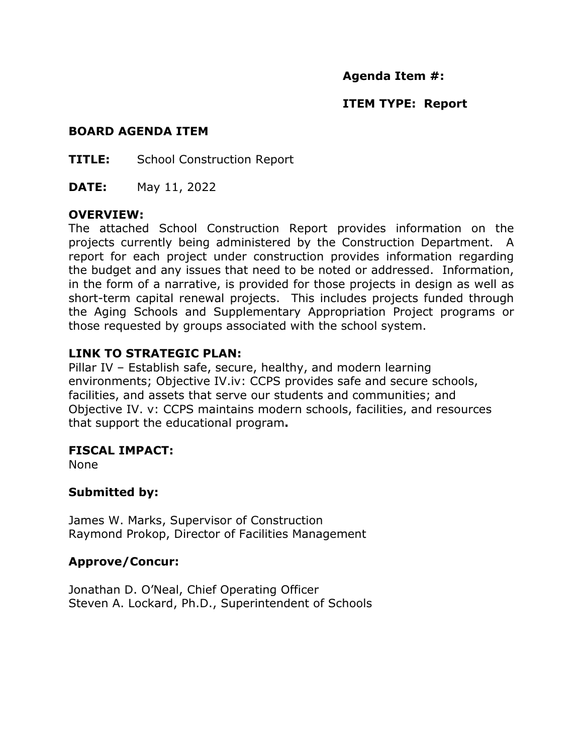## **Agenda Item #:**

## **ITEM TYPE: Report**

#### **BOARD AGENDA ITEM**

**TITLE:** School Construction Report

**DATE:** May 11, 2022

#### **OVERVIEW:**

The attached School Construction Report provides information on the projects currently being administered by the Construction Department. A report for each project under construction provides information regarding the budget and any issues that need to be noted or addressed. Information, in the form of a narrative, is provided for those projects in design as well as short-term capital renewal projects. This includes projects funded through the Aging Schools and Supplementary Appropriation Project programs or those requested by groups associated with the school system.

## **LINK TO STRATEGIC PLAN:**

Pillar IV – Establish safe, secure, healthy, and modern learning environments; Objective IV.iv: CCPS provides safe and secure schools, facilities, and assets that serve our students and communities; and Objective IV. v: CCPS maintains modern schools, facilities, and resources that support the educational program**.**

### **FISCAL IMPACT:**

None

### **Submitted by:**

James W. Marks, Supervisor of Construction Raymond Prokop, Director of Facilities Management

### **Approve/Concur:**

Jonathan D. O'Neal, Chief Operating Officer Steven A. Lockard, Ph.D., Superintendent of Schools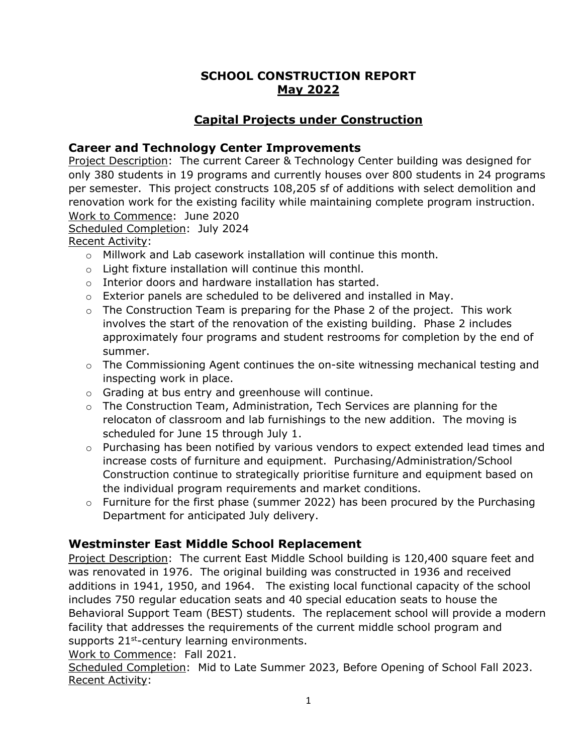# **SCHOOL CONSTRUCTION REPORT May 2022**

# **Capital Projects under Construction**

## **Career and Technology Center Improvements**

Project Description: The current Career & Technology Center building was designed for only 380 students in 19 programs and currently houses over 800 students in 24 programs per semester. This project constructs 108,205 sf of additions with select demolition and renovation work for the existing facility while maintaining complete program instruction. Work to Commence: June 2020

Scheduled Completion: July 2024

Recent Activity:

- o Millwork and Lab casework installation will continue this month.
- o Light fixture installation will continue this monthl.
- o Interior doors and hardware installation has started.
- $\circ$  Exterior panels are scheduled to be delivered and installed in May.
- $\circ$  The Construction Team is preparing for the Phase 2 of the project. This work involves the start of the renovation of the existing building. Phase 2 includes approximately four programs and student restrooms for completion by the end of summer.
- $\circ$  The Commissioning Agent continues the on-site witnessing mechanical testing and inspecting work in place.
- o Grading at bus entry and greenhouse will continue.
- $\circ$  The Construction Team, Administration, Tech Services are planning for the relocaton of classroom and lab furnishings to the new addition. The moving is scheduled for June 15 through July 1.
- $\circ$  Purchasing has been notified by various vendors to expect extended lead times and increase costs of furniture and equipment. Purchasing/Administration/School Construction continue to strategically prioritise furniture and equipment based on the individual program requirements and market conditions.
- o Furniture for the first phase (summer 2022) has been procured by the Purchasing Department for anticipated July delivery.

# **Westminster East Middle School Replacement**

Project Description: The current East Middle School building is 120,400 square feet and was renovated in 1976. The original building was constructed in 1936 and received additions in 1941, 1950, and 1964. The existing local functional capacity of the school includes 750 regular education seats and 40 special education seats to house the Behavioral Support Team (BEST) students. The replacement school will provide a modern facility that addresses the requirements of the current middle school program and supports 21<sup>st</sup>-century learning environments.

Work to Commence: Fall 2021.

Scheduled Completion: Mid to Late Summer 2023, Before Opening of School Fall 2023. Recent Activity: